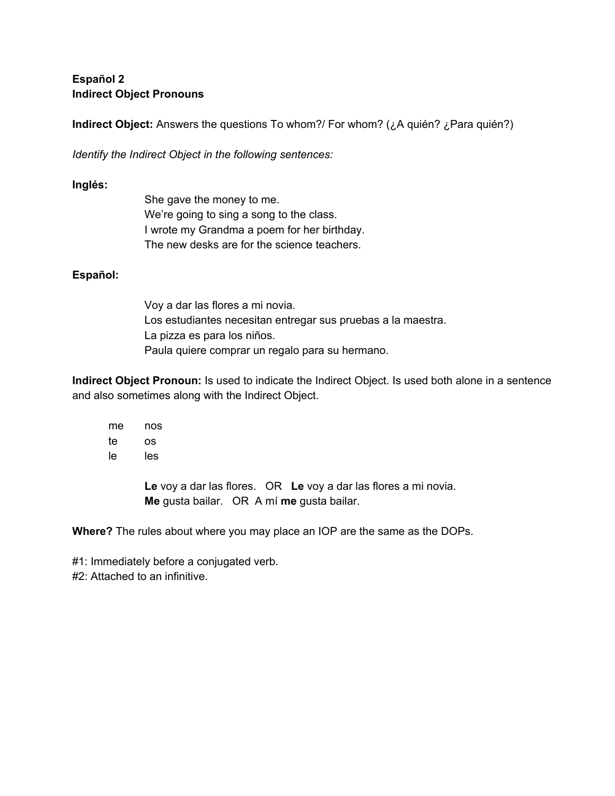## **Español 2 Indirect Object Pronouns**

**Indirect Object:** Answers the questions To whom?/ For whom? (¿A quién? ¿Para quién?)

*Identify the Indirect Object in the following sentences:*

## **Inglés:**

| She gave the money to me.                   |
|---------------------------------------------|
| We're going to sing a song to the class.    |
| I wrote my Grandma a poem for her birthday. |
| The new desks are for the science teachers. |

## **Español:**

Voy a dar las flores a mi novia. Los estudiantes necesitan entregar sus pruebas a la maestra. La pizza es para los niños. Paula quiere comprar un regalo para su hermano.

**Indirect Object Pronoun:** Is used to indicate the Indirect Object. Is used both alone in a sentence and also sometimes along with the Indirect Object.

me nos te os le les

> **Le** voy a dar las flores. OR **Le** voy a dar las flores a mi novia. **Me** gusta bailar. OR A mí **me** gusta bailar.

**Where?** The rules about where you may place an IOP are the same as the DOPs.

#1: Immediately before a conjugated verb. #2: Attached to an infinitive.